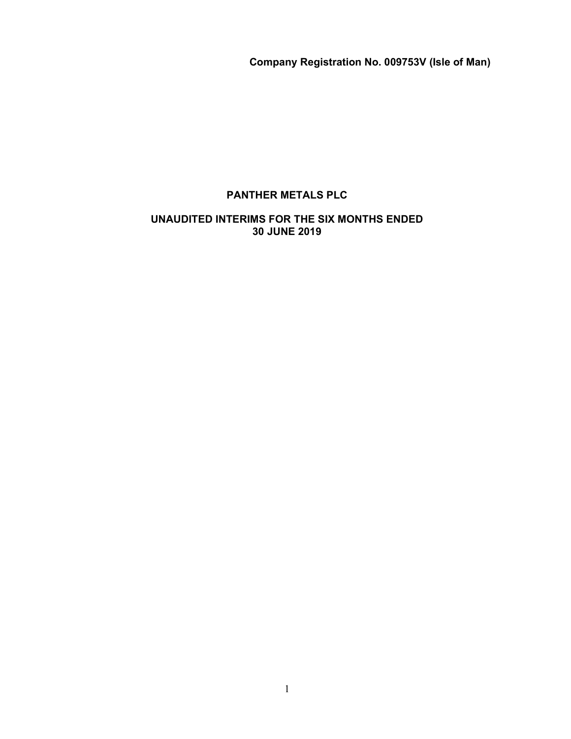Company Registration No. 009753V (Isle of Man)

# PANTHER METALS PLC

# UNAUDITED INTERIMS FOR THE SIX MONTHS ENDED 30 JUNE 2019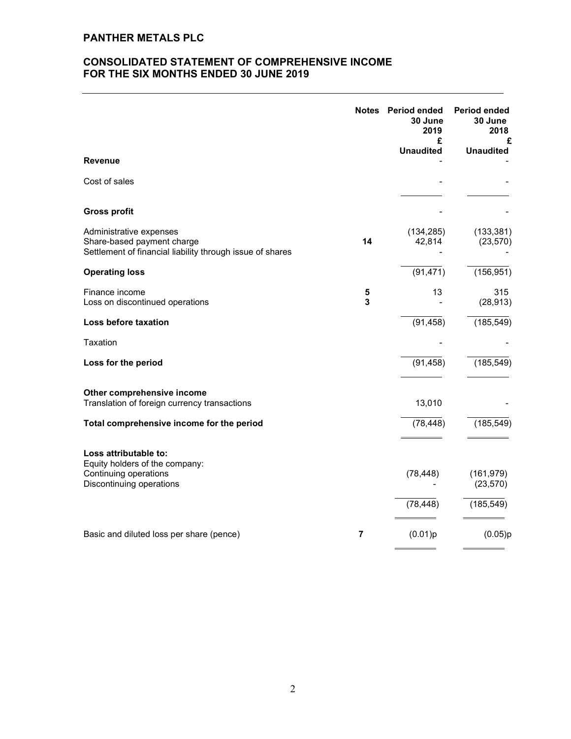# CONSOLIDATED STATEMENT OF COMPREHENSIVE INCOME FOR THE SIX MONTHS ENDED 30 JUNE 2019

| <b>Revenue</b>                                                                                                     |        | Notes Period ended<br>30 June<br>2019<br>£<br><b>Unaudited</b> | <b>Period ended</b><br>30 June<br>2018<br>£<br><b>Unaudited</b> |
|--------------------------------------------------------------------------------------------------------------------|--------|----------------------------------------------------------------|-----------------------------------------------------------------|
|                                                                                                                    |        |                                                                |                                                                 |
| Cost of sales                                                                                                      |        |                                                                |                                                                 |
| <b>Gross profit</b>                                                                                                |        |                                                                |                                                                 |
| Administrative expenses<br>Share-based payment charge<br>Settlement of financial liability through issue of shares | 14     | (134, 285)<br>42,814                                           | (133, 381)<br>(23, 570)                                         |
| <b>Operating loss</b>                                                                                              |        | (91, 471)                                                      | (156, 951)                                                      |
| Finance income<br>Loss on discontinued operations                                                                  | 5<br>3 | 13                                                             | 315<br>(28, 913)                                                |
| Loss before taxation                                                                                               |        | (91, 458)                                                      | (185, 549)                                                      |
| Taxation                                                                                                           |        |                                                                |                                                                 |
| Loss for the period                                                                                                |        | (91, 458)                                                      | (185, 549)                                                      |
| Other comprehensive income<br>Translation of foreign currency transactions                                         |        | 13,010                                                         |                                                                 |
| Total comprehensive income for the period                                                                          |        | (78, 448)                                                      | (185, 549)                                                      |
| Loss attributable to:<br>Equity holders of the company:                                                            |        |                                                                |                                                                 |
| Continuing operations<br>Discontinuing operations                                                                  |        | (78, 448)                                                      | (161, 979)<br>(23, 570)                                         |
|                                                                                                                    |        | (78, 448)                                                      | (185, 549)                                                      |
| Basic and diluted loss per share (pence)                                                                           | 7      | (0.01)p                                                        | (0.05)p                                                         |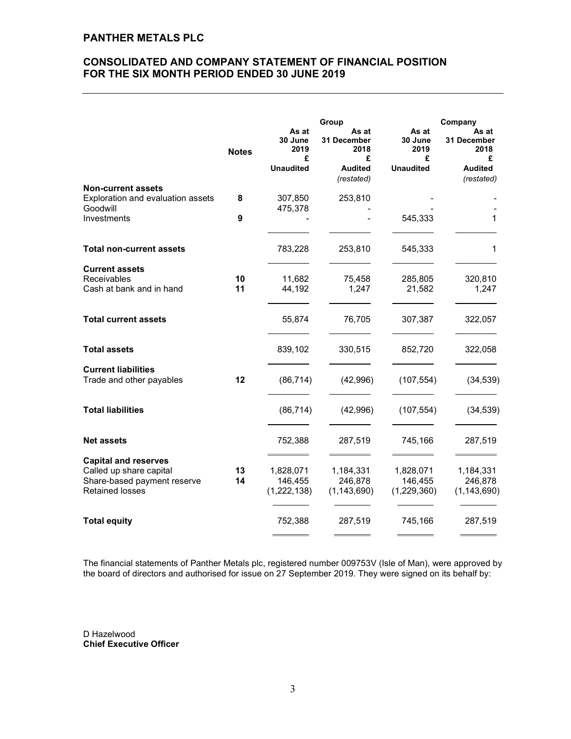# CONSOLIDATED AND COMPANY STATEMENT OF FINANCIAL POSITION FOR THE SIX MONTH PERIOD ENDED 30 JUNE 2019

|                                                        |              | Group                         |                                   |                               | Company                           |  |  |
|--------------------------------------------------------|--------------|-------------------------------|-----------------------------------|-------------------------------|-----------------------------------|--|--|
|                                                        | <b>Notes</b> | As at<br>30 June<br>2019<br>£ | As at<br>31 December<br>2018<br>£ | As at<br>30 June<br>2019<br>£ | As at<br>31 December<br>2018<br>£ |  |  |
|                                                        |              | <b>Unaudited</b>              | <b>Audited</b><br>(restated)      | <b>Unaudited</b>              | <b>Audited</b><br>(restated)      |  |  |
| <b>Non-current assets</b>                              |              |                               |                                   |                               |                                   |  |  |
| Exploration and evaluation assets                      | 8            | 307,850                       | 253,810                           |                               |                                   |  |  |
| Goodwill                                               |              | 475,378                       |                                   |                               |                                   |  |  |
| Investments                                            | 9            |                               |                                   | 545,333                       | 1                                 |  |  |
| <b>Total non-current assets</b>                        |              | 783,228                       | 253,810                           | 545,333                       | 1                                 |  |  |
| <b>Current assets</b>                                  |              |                               |                                   |                               |                                   |  |  |
| Receivables                                            | 10           | 11,682                        | 75,458                            | 285,805                       | 320,810                           |  |  |
| Cash at bank and in hand                               | 11           | 44,192                        | 1,247                             | 21,582                        | 1,247                             |  |  |
| <b>Total current assets</b>                            |              | 55,874                        | 76,705                            | 307,387                       | 322,057                           |  |  |
| <b>Total assets</b>                                    |              | 839,102                       | 330,515                           | 852,720                       | 322,058                           |  |  |
| <b>Current liabilities</b><br>Trade and other payables | 12           | (86, 714)                     | (42,996)                          | (107, 554)                    | (34, 539)                         |  |  |
|                                                        |              |                               |                                   |                               |                                   |  |  |
| <b>Total liabilities</b>                               |              | (86, 714)                     | (42, 996)                         | (107, 554)                    | (34, 539)                         |  |  |
| <b>Net assets</b>                                      |              | 752,388                       | 287,519                           | 745,166                       | 287,519                           |  |  |
| <b>Capital and reserves</b>                            |              |                               |                                   |                               |                                   |  |  |
| Called up share capital                                | 13           | 1,828,071                     | 1,184,331                         | 1,828,071                     | 1,184,331                         |  |  |
| Share-based payment reserve                            | 14           | 146,455                       | 246,878                           | 146,455                       | 246,878                           |  |  |
| <b>Retained losses</b>                                 |              | (1,222,138)                   | (1, 143, 690)                     | (1,229,360)                   | (1, 143, 690)                     |  |  |
| <b>Total equity</b>                                    |              | 752,388                       | 287,519                           | 745,166                       | 287,519                           |  |  |
|                                                        |              |                               |                                   |                               |                                   |  |  |

The financial statements of Panther Metals plc, registered number 009753V (Isle of Man), were approved by the board of directors and authorised for issue on 27 September 2019. They were signed on its behalf by:

D Hazelwood Chief Executive Officer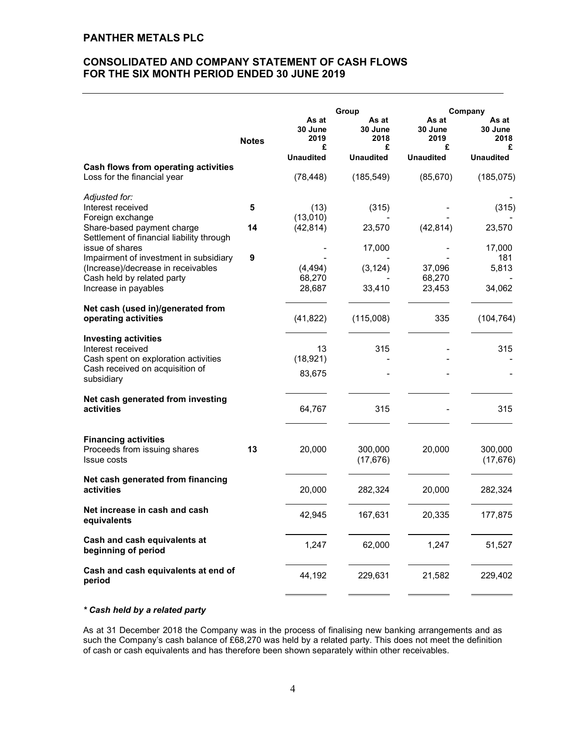# CONSOLIDATED AND COMPANY STATEMENT OF CASH FLOWS FOR THE SIX MONTH PERIOD ENDED 30 JUNE 2019

|                                                                                                            | <b>Notes</b> | As at<br>30 June<br>2019<br>£ | Group<br>As at<br>30 June<br>2018<br>£ | As at<br>30 June<br>2019<br>£ | Company<br>As at<br>30 June<br>2018<br>£ |
|------------------------------------------------------------------------------------------------------------|--------------|-------------------------------|----------------------------------------|-------------------------------|------------------------------------------|
| Cash flows from operating activities                                                                       |              | <b>Unaudited</b>              | <b>Unaudited</b>                       | <b>Unaudited</b>              | <b>Unaudited</b>                         |
| Loss for the financial year                                                                                |              | (78, 448)                     | (185, 549)                             | (85, 670)                     | (185, 075)                               |
| Adjusted for:                                                                                              |              |                               |                                        |                               |                                          |
| Interest received                                                                                          | 5            | (13)                          | (315)                                  |                               | (315)                                    |
| Foreign exchange                                                                                           |              | (13,010)                      |                                        |                               |                                          |
| Share-based payment charge<br>Settlement of financial liability through                                    | 14           | (42, 814)                     | 23,570                                 | (42, 814)                     | 23,570                                   |
| issue of shares                                                                                            |              |                               | 17,000                                 |                               | 17,000                                   |
| Impairment of investment in subsidiary<br>(Increase)/decrease in receivables<br>Cash held by related party | 9            | (4, 494)<br>68,270            | (3, 124)                               | 37,096<br>68,270              | 181<br>5,813                             |
| Increase in payables                                                                                       |              | 28,687                        | 33,410                                 | 23,453                        | 34,062                                   |
| Net cash (used in)/generated from<br>operating activities                                                  |              | (41, 822)                     | (115,008)                              | 335                           | (104, 764)                               |
| <b>Investing activities</b>                                                                                |              |                               |                                        |                               |                                          |
| Interest received                                                                                          |              | 13                            | 315                                    |                               | 315                                      |
| Cash spent on exploration activities                                                                       |              | (18, 921)                     |                                        |                               |                                          |
| Cash received on acquisition of<br>subsidiary                                                              |              | 83,675                        |                                        |                               |                                          |
| Net cash generated from investing<br>activities                                                            |              | 64,767                        | 315                                    |                               | 315                                      |
| <b>Financing activities</b><br>Proceeds from issuing shares<br><b>Issue costs</b>                          | 13           | 20,000                        | 300,000<br>(17, 676)                   | 20,000                        | 300,000<br>(17, 676)                     |
| Net cash generated from financing<br>activities                                                            |              | 20,000                        | 282,324                                | 20,000                        | 282,324                                  |
| Net increase in cash and cash<br>equivalents                                                               |              | 42,945                        | 167,631                                | 20,335                        | 177,875                                  |
| Cash and cash equivalents at<br>beginning of period                                                        |              | 1,247                         | 62,000                                 | 1,247                         | 51,527                                   |
| Cash and cash equivalents at end of<br>period                                                              |              | 44,192                        | 229,631                                | 21,582                        | 229,402                                  |
|                                                                                                            |              |                               |                                        |                               |                                          |

# \* Cash held by a related party

As at 31 December 2018 the Company was in the process of finalising new banking arrangements and as such the Company's cash balance of £68,270 was held by a related party. This does not meet the definition of cash or cash equivalents and has therefore been shown separately within other receivables.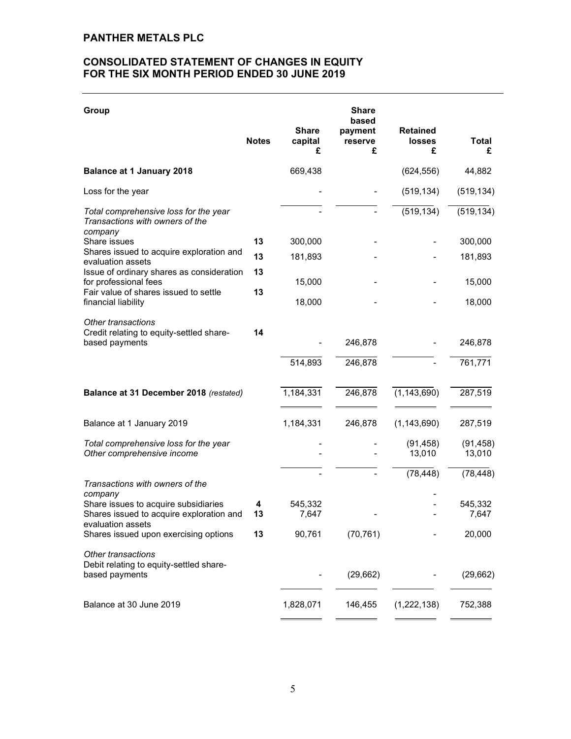# CONSOLIDATED STATEMENT OF CHANGES IN EQUITY FOR THE SIX MONTH PERIOD ENDED 30 JUNE 2019

| Group                                                                                                            |              |                              | <b>Share</b><br>based   |                                       |                     |
|------------------------------------------------------------------------------------------------------------------|--------------|------------------------------|-------------------------|---------------------------------------|---------------------|
|                                                                                                                  | <b>Notes</b> | <b>Share</b><br>capital<br>£ | payment<br>reserve<br>£ | <b>Retained</b><br><b>losses</b><br>£ | Total<br>£          |
| <b>Balance at 1 January 2018</b>                                                                                 |              | 669,438                      |                         | (624, 556)                            | 44,882              |
| Loss for the year                                                                                                |              |                              |                         | (519, 134)                            | (519, 134)          |
| Total comprehensive loss for the year<br>Transactions with owners of the<br>company                              |              |                              |                         | (519, 134)                            | (519, 134)          |
| Share issues                                                                                                     | 13           | 300,000                      |                         |                                       | 300,000             |
| Shares issued to acquire exploration and<br>evaluation assets                                                    | 13           | 181,893                      |                         |                                       | 181,893             |
| Issue of ordinary shares as consideration<br>for professional fees                                               | 13           | 15,000                       |                         |                                       | 15,000              |
| Fair value of shares issued to settle<br>financial liability                                                     | 13           | 18,000                       |                         |                                       | 18,000              |
| Other transactions<br>Credit relating to equity-settled share-<br>based payments                                 | 14           |                              | 246,878                 |                                       | 246,878             |
|                                                                                                                  |              | 514,893                      | 246,878                 |                                       | 761,771             |
| Balance at 31 December 2018 (restated)                                                                           |              | 1,184,331                    | 246,878                 | (1, 143, 690)                         | 287,519             |
| Balance at 1 January 2019                                                                                        |              | 1,184,331                    | 246,878                 | (1, 143, 690)                         | 287,519             |
| Total comprehensive loss for the year<br>Other comprehensive income                                              |              |                              |                         | (91, 458)<br>13,010                   | (91, 458)<br>13,010 |
| Transactions with owners of the                                                                                  |              |                              |                         | (78, 448)                             | (78, 448)           |
| company<br>Share issues to acquire subsidiaries<br>Shares issued to acquire exploration and<br>evaluation assets | 4<br>13      | 545,332<br>7,647             |                         |                                       | 545,332<br>7,647    |
| Shares issued upon exercising options                                                                            | 13           | 90,761                       | (70, 761)               |                                       | 20,000              |
| Other transactions<br>Debit relating to equity-settled share-<br>based payments                                  |              |                              | (29, 662)               |                                       | (29, 662)           |
| Balance at 30 June 2019                                                                                          |              | 1,828,071                    | 146,455                 | (1,222,138)                           | 752,388             |
|                                                                                                                  |              |                              |                         |                                       |                     |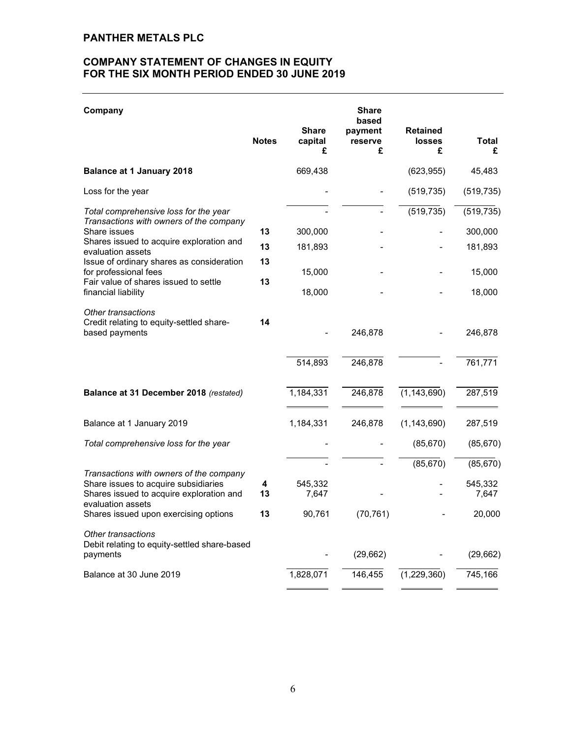# COMPANY STATEMENT OF CHANGES IN EQUITY FOR THE SIX MONTH PERIOD ENDED 30 JUNE 2019

| Company                                                                                                                                                                                             |              |                              | <b>Share</b><br>based   |                                       |                   |
|-----------------------------------------------------------------------------------------------------------------------------------------------------------------------------------------------------|--------------|------------------------------|-------------------------|---------------------------------------|-------------------|
|                                                                                                                                                                                                     | <b>Notes</b> | <b>Share</b><br>capital<br>£ | payment<br>reserve<br>£ | <b>Retained</b><br><b>losses</b><br>£ | <b>Total</b><br>£ |
| <b>Balance at 1 January 2018</b>                                                                                                                                                                    |              | 669,438                      |                         | (623, 955)                            | 45,483            |
| Loss for the year                                                                                                                                                                                   |              |                              |                         | (519, 735)                            | (519, 735)        |
| Total comprehensive loss for the year<br>Transactions with owners of the company                                                                                                                    |              |                              |                         | (519, 735)                            | (519, 735)        |
| Share issues                                                                                                                                                                                        | 13           | 300,000                      |                         |                                       | 300,000           |
| Shares issued to acquire exploration and<br>evaluation assets<br>Issue of ordinary shares as consideration<br>for professional fees<br>Fair value of shares issued to settle<br>financial liability | 13           | 181,893                      |                         |                                       | 181,893           |
|                                                                                                                                                                                                     | 13           | 15,000                       |                         |                                       | 15,000            |
|                                                                                                                                                                                                     | 13           | 18,000                       |                         |                                       | 18,000            |
| Other transactions<br>Credit relating to equity-settled share-<br>based payments                                                                                                                    | 14           |                              | 246,878                 |                                       | 246,878           |
|                                                                                                                                                                                                     |              | 514,893                      | 246,878                 |                                       | 761,771           |
| Balance at 31 December 2018 (restated)                                                                                                                                                              |              | 1,184,331                    | 246,878                 | (1, 143, 690)                         | 287,519           |
| Balance at 1 January 2019                                                                                                                                                                           |              | 1,184,331                    | 246,878                 | (1, 143, 690)                         | 287,519           |
| Total comprehensive loss for the year                                                                                                                                                               |              |                              |                         | (85, 670)                             | (85, 670)         |
|                                                                                                                                                                                                     |              |                              |                         | (85, 670)                             | (85, 670)         |
| Transactions with owners of the company<br>Share issues to acquire subsidiaries<br>Shares issued to acquire exploration and<br>evaluation assets                                                    | 4<br>13      | 545,332<br>7,647             |                         |                                       | 545,332<br>7,647  |
| Shares issued upon exercising options                                                                                                                                                               | 13           | 90,761                       | (70, 761)               |                                       | 20,000            |
| Other transactions<br>Debit relating to equity-settled share-based<br>payments                                                                                                                      |              |                              | (29,662)                |                                       | (29, 662)         |
| Balance at 30 June 2019                                                                                                                                                                             |              | 1,828,071                    | 146,455                 | (1,229,360)                           | 745,166           |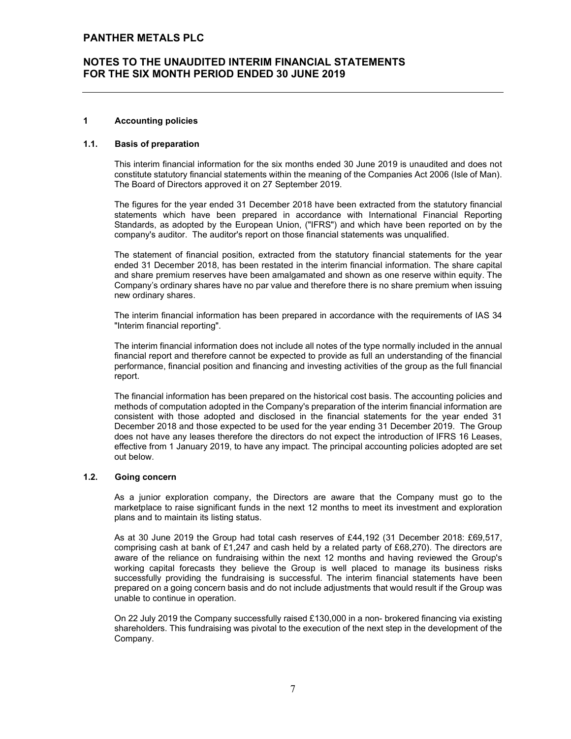### 1 Accounting policies

### 1.1. Basis of preparation

This interim financial information for the six months ended 30 June 2019 is unaudited and does not constitute statutory financial statements within the meaning of the Companies Act 2006 (Isle of Man). The Board of Directors approved it on 27 September 2019.

The figures for the year ended 31 December 2018 have been extracted from the statutory financial statements which have been prepared in accordance with International Financial Reporting Standards, as adopted by the European Union, ("IFRS") and which have been reported on by the company's auditor. The auditor's report on those financial statements was unqualified.

The statement of financial position, extracted from the statutory financial statements for the year ended 31 December 2018, has been restated in the interim financial information. The share capital and share premium reserves have been amalgamated and shown as one reserve within equity. The Company's ordinary shares have no par value and therefore there is no share premium when issuing new ordinary shares.

The interim financial information has been prepared in accordance with the requirements of IAS 34 "Interim financial reporting".

The interim financial information does not include all notes of the type normally included in the annual financial report and therefore cannot be expected to provide as full an understanding of the financial performance, financial position and financing and investing activities of the group as the full financial report.

The financial information has been prepared on the historical cost basis. The accounting policies and methods of computation adopted in the Company's preparation of the interim financial information are consistent with those adopted and disclosed in the financial statements for the year ended 31 December 2018 and those expected to be used for the year ending 31 December 2019. The Group does not have any leases therefore the directors do not expect the introduction of IFRS 16 Leases, effective from 1 January 2019, to have any impact. The principal accounting policies adopted are set out below.

### 1.2. Going concern

As a junior exploration company, the Directors are aware that the Company must go to the marketplace to raise significant funds in the next 12 months to meet its investment and exploration plans and to maintain its listing status.

As at 30 June 2019 the Group had total cash reserves of £44,192 (31 December 2018: £69,517, comprising cash at bank of £1,247 and cash held by a related party of £68,270). The directors are aware of the reliance on fundraising within the next 12 months and having reviewed the Group's working capital forecasts they believe the Group is well placed to manage its business risks successfully providing the fundraising is successful. The interim financial statements have been prepared on a going concern basis and do not include adjustments that would result if the Group was unable to continue in operation.

On 22 July 2019 the Company successfully raised £130,000 in a non- brokered financing via existing shareholders. This fundraising was pivotal to the execution of the next step in the development of the Company.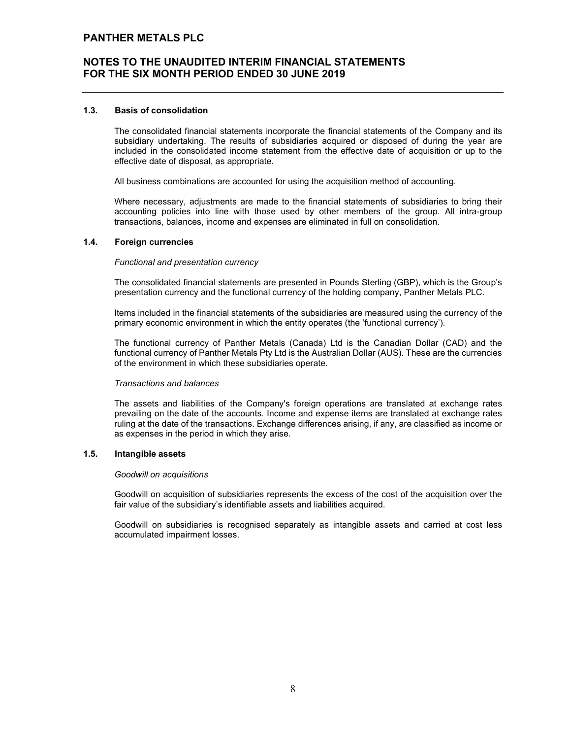### 1.3. Basis of consolidation

The consolidated financial statements incorporate the financial statements of the Company and its subsidiary undertaking. The results of subsidiaries acquired or disposed of during the year are included in the consolidated income statement from the effective date of acquisition or up to the effective date of disposal, as appropriate.

All business combinations are accounted for using the acquisition method of accounting.

Where necessary, adjustments are made to the financial statements of subsidiaries to bring their accounting policies into line with those used by other members of the group. All intra-group transactions, balances, income and expenses are eliminated in full on consolidation.

### 1.4. Foreign currencies

### Functional and presentation currency

The consolidated financial statements are presented in Pounds Sterling (GBP), which is the Group's presentation currency and the functional currency of the holding company, Panther Metals PLC.

Items included in the financial statements of the subsidiaries are measured using the currency of the primary economic environment in which the entity operates (the 'functional currency').

The functional currency of Panther Metals (Canada) Ltd is the Canadian Dollar (CAD) and the functional currency of Panther Metals Pty Ltd is the Australian Dollar (AUS). These are the currencies of the environment in which these subsidiaries operate.

### Transactions and balances

The assets and liabilities of the Company's foreign operations are translated at exchange rates prevailing on the date of the accounts. Income and expense items are translated at exchange rates ruling at the date of the transactions. Exchange differences arising, if any, are classified as income or as expenses in the period in which they arise.

### 1.5. Intangible assets

### Goodwill on acquisitions

Goodwill on acquisition of subsidiaries represents the excess of the cost of the acquisition over the fair value of the subsidiary's identifiable assets and liabilities acquired.

Goodwill on subsidiaries is recognised separately as intangible assets and carried at cost less accumulated impairment losses.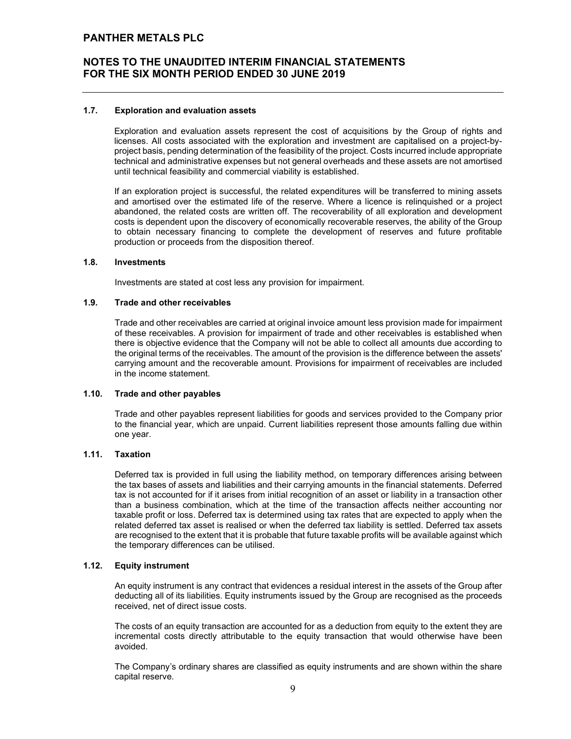### 1.7. Exploration and evaluation assets

Exploration and evaluation assets represent the cost of acquisitions by the Group of rights and licenses. All costs associated with the exploration and investment are capitalised on a project-byproject basis, pending determination of the feasibility of the project. Costs incurred include appropriate technical and administrative expenses but not general overheads and these assets are not amortised until technical feasibility and commercial viability is established.

If an exploration project is successful, the related expenditures will be transferred to mining assets and amortised over the estimated life of the reserve. Where a licence is relinquished or a project abandoned, the related costs are written off. The recoverability of all exploration and development costs is dependent upon the discovery of economically recoverable reserves, the ability of the Group to obtain necessary financing to complete the development of reserves and future profitable production or proceeds from the disposition thereof.

### 1.8. Investments

Investments are stated at cost less any provision for impairment.

### 1.9. Trade and other receivables

Trade and other receivables are carried at original invoice amount less provision made for impairment of these receivables. A provision for impairment of trade and other receivables is established when there is objective evidence that the Company will not be able to collect all amounts due according to the original terms of the receivables. The amount of the provision is the difference between the assets' carrying amount and the recoverable amount. Provisions for impairment of receivables are included in the income statement.

### 1.10. Trade and other payables

Trade and other payables represent liabilities for goods and services provided to the Company prior to the financial year, which are unpaid. Current liabilities represent those amounts falling due within one year.

### 1.11. Taxation

Deferred tax is provided in full using the liability method, on temporary differences arising between the tax bases of assets and liabilities and their carrying amounts in the financial statements. Deferred tax is not accounted for if it arises from initial recognition of an asset or liability in a transaction other than a business combination, which at the time of the transaction affects neither accounting nor taxable profit or loss. Deferred tax is determined using tax rates that are expected to apply when the related deferred tax asset is realised or when the deferred tax liability is settled. Deferred tax assets are recognised to the extent that it is probable that future taxable profits will be available against which the temporary differences can be utilised.

### 1.12. Equity instrument

An equity instrument is any contract that evidences a residual interest in the assets of the Group after deducting all of its liabilities. Equity instruments issued by the Group are recognised as the proceeds received, net of direct issue costs.

The costs of an equity transaction are accounted for as a deduction from equity to the extent they are incremental costs directly attributable to the equity transaction that would otherwise have been avoided.

The Company's ordinary shares are classified as equity instruments and are shown within the share capital reserve.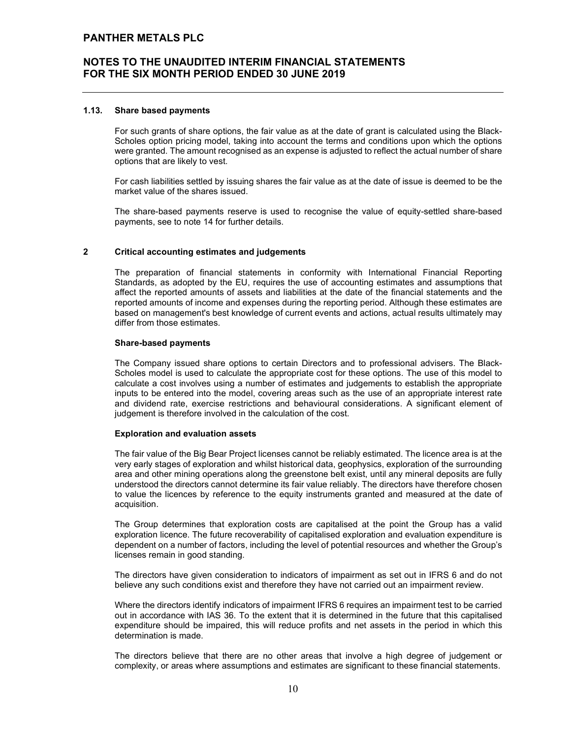### 1.13. Share based payments

For such grants of share options, the fair value as at the date of grant is calculated using the Black-Scholes option pricing model, taking into account the terms and conditions upon which the options were granted. The amount recognised as an expense is adjusted to reflect the actual number of share options that are likely to vest.

For cash liabilities settled by issuing shares the fair value as at the date of issue is deemed to be the market value of the shares issued.

The share-based payments reserve is used to recognise the value of equity-settled share-based payments, see to note 14 for further details.

### 2 Critical accounting estimates and judgements

The preparation of financial statements in conformity with International Financial Reporting Standards, as adopted by the EU, requires the use of accounting estimates and assumptions that affect the reported amounts of assets and liabilities at the date of the financial statements and the reported amounts of income and expenses during the reporting period. Although these estimates are based on management's best knowledge of current events and actions, actual results ultimately may differ from those estimates.

### Share-based payments

The Company issued share options to certain Directors and to professional advisers. The Black-Scholes model is used to calculate the appropriate cost for these options. The use of this model to calculate a cost involves using a number of estimates and judgements to establish the appropriate inputs to be entered into the model, covering areas such as the use of an appropriate interest rate and dividend rate, exercise restrictions and behavioural considerations. A significant element of judgement is therefore involved in the calculation of the cost.

### Exploration and evaluation assets

The fair value of the Big Bear Project licenses cannot be reliably estimated. The licence area is at the very early stages of exploration and whilst historical data, geophysics, exploration of the surrounding area and other mining operations along the greenstone belt exist, until any mineral deposits are fully understood the directors cannot determine its fair value reliably. The directors have therefore chosen to value the licences by reference to the equity instruments granted and measured at the date of acquisition.

The Group determines that exploration costs are capitalised at the point the Group has a valid exploration licence. The future recoverability of capitalised exploration and evaluation expenditure is dependent on a number of factors, including the level of potential resources and whether the Group's licenses remain in good standing.

The directors have given consideration to indicators of impairment as set out in IFRS 6 and do not believe any such conditions exist and therefore they have not carried out an impairment review.

Where the directors identify indicators of impairment IFRS 6 requires an impairment test to be carried out in accordance with IAS 36. To the extent that it is determined in the future that this capitalised expenditure should be impaired, this will reduce profits and net assets in the period in which this determination is made.

The directors believe that there are no other areas that involve a high degree of judgement or complexity, or areas where assumptions and estimates are significant to these financial statements.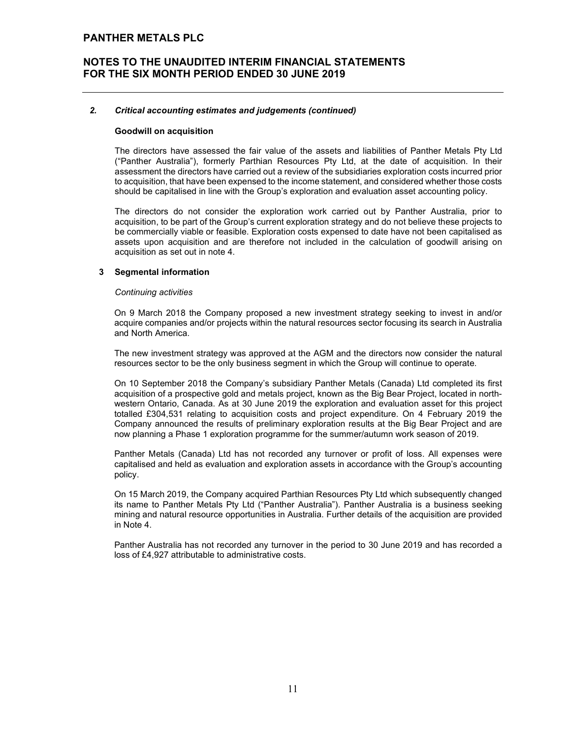### 2. Critical accounting estimates and judgements (continued)

### Goodwill on acquisition

The directors have assessed the fair value of the assets and liabilities of Panther Metals Pty Ltd ("Panther Australia"), formerly Parthian Resources Pty Ltd, at the date of acquisition. In their assessment the directors have carried out a review of the subsidiaries exploration costs incurred prior to acquisition, that have been expensed to the income statement, and considered whether those costs should be capitalised in line with the Group's exploration and evaluation asset accounting policy.

The directors do not consider the exploration work carried out by Panther Australia, prior to acquisition, to be part of the Group's current exploration strategy and do not believe these projects to be commercially viable or feasible. Exploration costs expensed to date have not been capitalised as assets upon acquisition and are therefore not included in the calculation of goodwill arising on acquisition as set out in note 4.

### 3 Segmental information

### Continuing activities

On 9 March 2018 the Company proposed a new investment strategy seeking to invest in and/or acquire companies and/or projects within the natural resources sector focusing its search in Australia and North America.

The new investment strategy was approved at the AGM and the directors now consider the natural resources sector to be the only business segment in which the Group will continue to operate.

On 10 September 2018 the Company's subsidiary Panther Metals (Canada) Ltd completed its first acquisition of a prospective gold and metals project, known as the Big Bear Project, located in northwestern Ontario, Canada. As at 30 June 2019 the exploration and evaluation asset for this project totalled £304,531 relating to acquisition costs and project expenditure. On 4 February 2019 the Company announced the results of preliminary exploration results at the Big Bear Project and are now planning a Phase 1 exploration programme for the summer/autumn work season of 2019.

Panther Metals (Canada) Ltd has not recorded any turnover or profit of loss. All expenses were capitalised and held as evaluation and exploration assets in accordance with the Group's accounting policy.

On 15 March 2019, the Company acquired Parthian Resources Pty Ltd which subsequently changed its name to Panther Metals Pty Ltd ("Panther Australia"). Panther Australia is a business seeking mining and natural resource opportunities in Australia. Further details of the acquisition are provided in Note 4.

Panther Australia has not recorded any turnover in the period to 30 June 2019 and has recorded a loss of £4,927 attributable to administrative costs.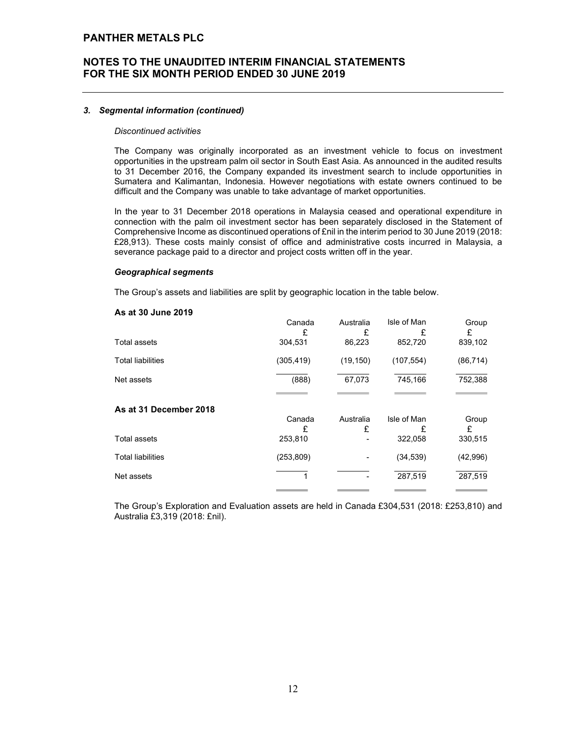## NOTES TO THE UNAUDITED INTERIM FINANCIAL STATEMENTS FOR THE SIX MONTH PERIOD ENDED 30 JUNE 2019

### 3. Segmental information (continued)

#### Discontinued activities

The Company was originally incorporated as an investment vehicle to focus on investment opportunities in the upstream palm oil sector in South East Asia. As announced in the audited results to 31 December 2016, the Company expanded its investment search to include opportunities in Sumatera and Kalimantan, Indonesia. However negotiations with estate owners continued to be difficult and the Company was unable to take advantage of market opportunities.

In the year to 31 December 2018 operations in Malaysia ceased and operational expenditure in connection with the palm oil investment sector has been separately disclosed in the Statement of Comprehensive Income as discontinued operations of £nil in the interim period to 30 June 2019 (2018: £28,913). These costs mainly consist of office and administrative costs incurred in Malaysia, a severance package paid to a director and project costs written off in the year.

#### Geographical segments

The Group's assets and liabilities are split by geographic location in the table below.

#### As at 30 June 2019

|                          | Canada     | Australia | Isle of Man | Group     |
|--------------------------|------------|-----------|-------------|-----------|
|                          | £          | £         | £           | £         |
| Total assets             | 304,531    | 86,223    | 852,720     | 839,102   |
| <b>Total liabilities</b> | (305, 419) | (19, 150) | (107, 554)  | (86, 714) |
| Net assets               | (888)      | 67,073    | 745,166     | 752,388   |
|                          |            |           |             |           |
| As at 31 December 2018   |            |           |             |           |
|                          | Canada     | Australia | Isle of Man | Group     |
|                          | £          | £         | £           | £         |
| Total assets             | 253,810    | ٠         | 322,058     | 330,515   |
| <b>Total liabilities</b> | (253, 809) | ٠         | (34, 539)   | (42,996)  |
| Net assets               |            | ٠         | 287,519     | 287,519   |
|                          |            |           |             |           |

The Group's Exploration and Evaluation assets are held in Canada £304,531 (2018: £253,810) and Australia £3,319 (2018: £nil).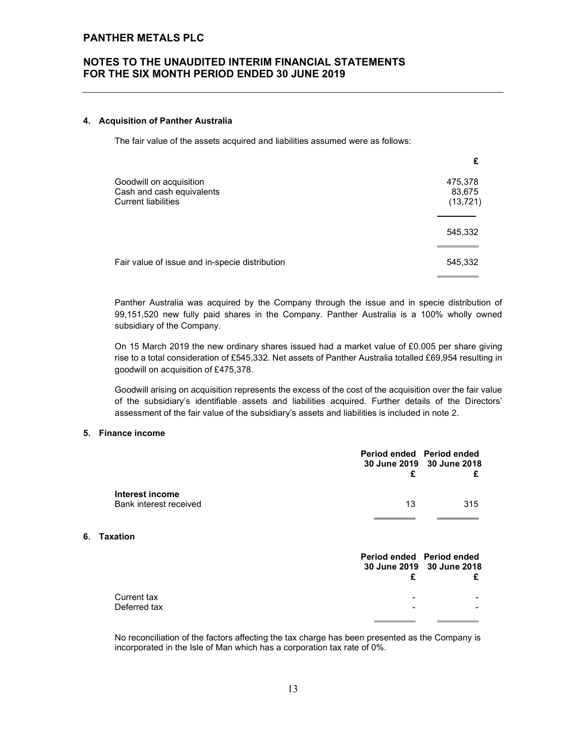## NOTES TO THE UNAUDITED INTERIM FINANCIAL STATEMENTS FOR THE SIX MONTH PERIOD ENDED 30 JUNE 2019

#### 4. Acquisition of Panther Australia

The fair value of the assets acquired and liabilities assumed were as follows:

| 475,378                                                                                                                              |
|--------------------------------------------------------------------------------------------------------------------------------------|
| 83,675                                                                                                                               |
| (13, 721)                                                                                                                            |
|                                                                                                                                      |
| 545,332                                                                                                                              |
|                                                                                                                                      |
| 545,332                                                                                                                              |
|                                                                                                                                      |
| Goodwill on acquisition<br>Cash and cash equivalents<br><b>Current liabilities</b><br>Fair value of issue and in-specie distribution |

Panther Australia was acquired by the Company through the issue and in specie distribution of 99,151,520 new fully paid shares in the Company. Panther Australia is a 100% wholly owned subsidiary of the Company.

On 15 March 2019 the new ordinary shares issued had a market value of £0.005 per share giving rise to a total consideration of £545,332. Net assets of Panther Australia totalled £69,954 resulting in goodwill on acquisition of £475,378.

Goodwill arising on acquisition represents the excess of the cost of the acquisition over the fair value of the subsidiary's identifiable assets and liabilities acquired. Further details of the Directors' assessment of the fair value of the subsidiary's assets and liabilities is included in note 2.

### 5. Finance income

|    |                                           | Period ended Period ended<br>£ | 30 June 2019 30 June 2018<br>£ |
|----|-------------------------------------------|--------------------------------|--------------------------------|
|    | Interest income<br>Bank interest received | 13                             | 315                            |
| 6. | <b>Taxation</b>                           |                                |                                |
|    |                                           | Period ended Period ended<br>£ | 30 June 2019 30 June 2018<br>£ |
|    | Current tax<br>Deferred tax               |                                |                                |

 No reconciliation of the factors affecting the tax charge has been presented as the Company is incorporated in the Isle of Man which has a corporation tax rate of 0%.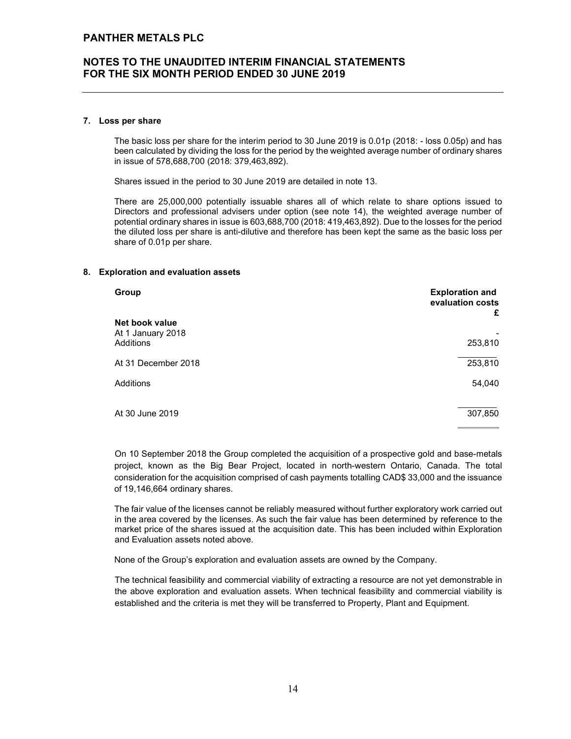### 7. Loss per share

The basic loss per share for the interim period to 30 June 2019 is 0.01p (2018: - loss 0.05p) and has been calculated by dividing the loss for the period by the weighted average number of ordinary shares in issue of 578,688,700 (2018: 379,463,892).

Shares issued in the period to 30 June 2019 are detailed in note 13.

There are 25,000,000 potentially issuable shares all of which relate to share options issued to Directors and professional advisers under option (see note 14), the weighted average number of potential ordinary shares in issue is 603,688,700 (2018: 419,463,892). Due to the losses for the period the diluted loss per share is anti-dilutive and therefore has been kept the same as the basic loss per share of 0.01p per share.

### 8. Exploration and evaluation assets

| Group               | <b>Exploration and</b><br>evaluation costs<br>£ |
|---------------------|-------------------------------------------------|
| Net book value      |                                                 |
| At 1 January 2018   |                                                 |
| Additions           | 253,810                                         |
| At 31 December 2018 | 253,810                                         |
| Additions           | 54,040                                          |
| At 30 June 2019     | 307,850                                         |

 On 10 September 2018 the Group completed the acquisition of a prospective gold and base-metals project, known as the Big Bear Project, located in north-western Ontario, Canada. The total consideration for the acquisition comprised of cash payments totalling CAD\$ 33,000 and the issuance of 19,146,664 ordinary shares.

The fair value of the licenses cannot be reliably measured without further exploratory work carried out in the area covered by the licenses. As such the fair value has been determined by reference to the market price of the shares issued at the acquisition date. This has been included within Exploration and Evaluation assets noted above.

None of the Group's exploration and evaluation assets are owned by the Company.

The technical feasibility and commercial viability of extracting a resource are not yet demonstrable in the above exploration and evaluation assets. When technical feasibility and commercial viability is established and the criteria is met they will be transferred to Property, Plant and Equipment.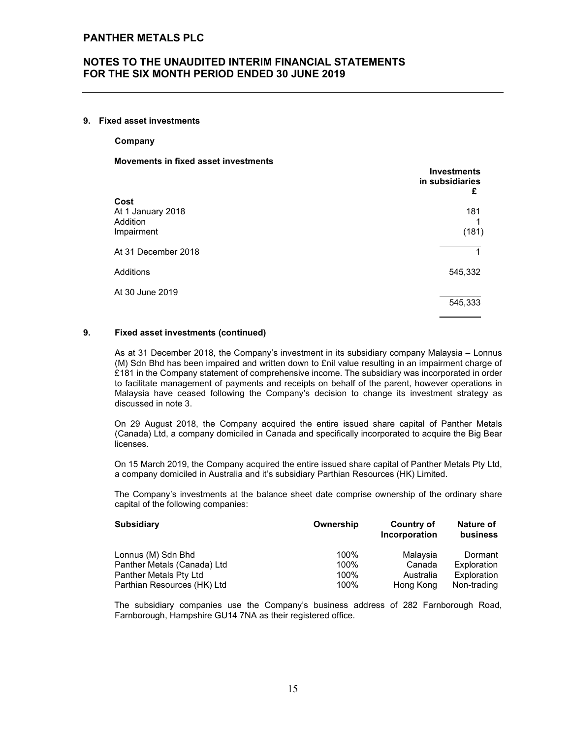### 9. Fixed asset investments

Company

### Movements in fixed asset investments

|                               | <b>Investments</b><br>in subsidiaries<br>£ |
|-------------------------------|--------------------------------------------|
| Cost                          |                                            |
| At 1 January 2018<br>Addition | 181                                        |
| Impairment                    | (181)                                      |
| At 31 December 2018           | 1                                          |
| Additions                     | 545,332                                    |
| At 30 June 2019               | 545,333                                    |
|                               |                                            |

### 9. Fixed asset investments (continued)

As at 31 December 2018, the Company's investment in its subsidiary company Malaysia – Lonnus (M) Sdn Bhd has been impaired and written down to £nil value resulting in an impairment charge of £181 in the Company statement of comprehensive income. The subsidiary was incorporated in order to facilitate management of payments and receipts on behalf of the parent, however operations in Malaysia have ceased following the Company's decision to change its investment strategy as discussed in note 3.

On 29 August 2018, the Company acquired the entire issued share capital of Panther Metals (Canada) Ltd, a company domiciled in Canada and specifically incorporated to acquire the Big Bear licenses.

On 15 March 2019, the Company acquired the entire issued share capital of Panther Metals Pty Ltd, a company domiciled in Australia and it's subsidiary Parthian Resources (HK) Limited.

The Company's investments at the balance sheet date comprise ownership of the ordinary share capital of the following companies:

| <b>Subsidiary</b>           | Ownership | Country of<br>Incorporation | Nature of<br>business |
|-----------------------------|-----------|-----------------------------|-----------------------|
| Lonnus (M) Sdn Bhd          | 100%      | Malaysia                    | Dormant               |
| Panther Metals (Canada) Ltd | 100%      | Canada                      | Exploration           |
| Panther Metals Pty Ltd      | 100%      | Australia                   | Exploration           |
| Parthian Resources (HK) Ltd | 100%      | Hong Kong                   | Non-trading           |

The subsidiary companies use the Company's business address of 282 Farnborough Road, Farnborough, Hampshire GU14 7NA as their registered office.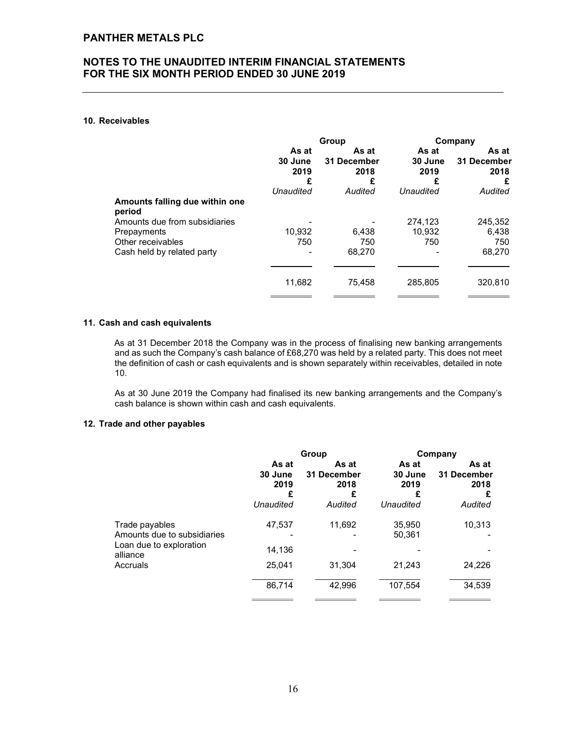### 10. Receivables

|                                          | Group                         |                                   | Company                  |                                   |
|------------------------------------------|-------------------------------|-----------------------------------|--------------------------|-----------------------------------|
|                                          | As at<br>30 June<br>2019<br>£ | As at<br>31 December<br>2018<br>£ | As at<br>30 June<br>2019 | As at<br>31 December<br>2018<br>£ |
|                                          | Unaudited                     | Audited                           | Unaudited                | Audited                           |
| Amounts falling due within one<br>period |                               |                                   |                          |                                   |
| Amounts due from subsidiaries            |                               |                                   | 274,123                  | 245,352                           |
| Prepayments                              | 10,932                        | 6.438                             | 10,932                   | 6,438                             |
| Other receivables                        | 750                           | 750                               | 750                      | 750                               |
| Cash held by related party               |                               | 68,270                            |                          | 68,270                            |
|                                          |                               |                                   |                          |                                   |
|                                          | 11,682                        | 75,458                            | 285,805                  | 320,810                           |
|                                          |                               |                                   |                          |                                   |

### 11. Cash and cash equivalents

As at 31 December 2018 the Company was in the process of finalising new banking arrangements and as such the Company's cash balance of £68,270 was held by a related party. This does not meet the definition of cash or cash equivalents and is shown separately within receivables, detailed in note 10.

 As at 30 June 2019 the Company had finalised its new banking arrangements and the Company's cash balance is shown within cash and cash equivalents.

### 12. Trade and other payables

|                                                                                                  |                                            | Group                                        | Company                                    |                                              |  |
|--------------------------------------------------------------------------------------------------|--------------------------------------------|----------------------------------------------|--------------------------------------------|----------------------------------------------|--|
|                                                                                                  | As at<br>30 June<br>2019<br>£<br>Unaudited | As at<br>31 December<br>2018<br>£<br>Audited | As at<br>30 June<br>2019<br>£<br>Unaudited | As at<br>31 December<br>2018<br>£<br>Audited |  |
| Trade payables<br>Amounts due to subsidiaries<br>Loan due to exploration<br>alliance<br>Accruals | 47.537                                     | 11.692                                       | 35,950                                     | 10,313                                       |  |
|                                                                                                  | 14.136                                     |                                              | 50,361                                     |                                              |  |
|                                                                                                  | 25,041                                     | 31.304                                       | 21,243                                     | 24,226                                       |  |
|                                                                                                  | 86,714                                     | 42,996                                       | 107,554                                    | 34,539                                       |  |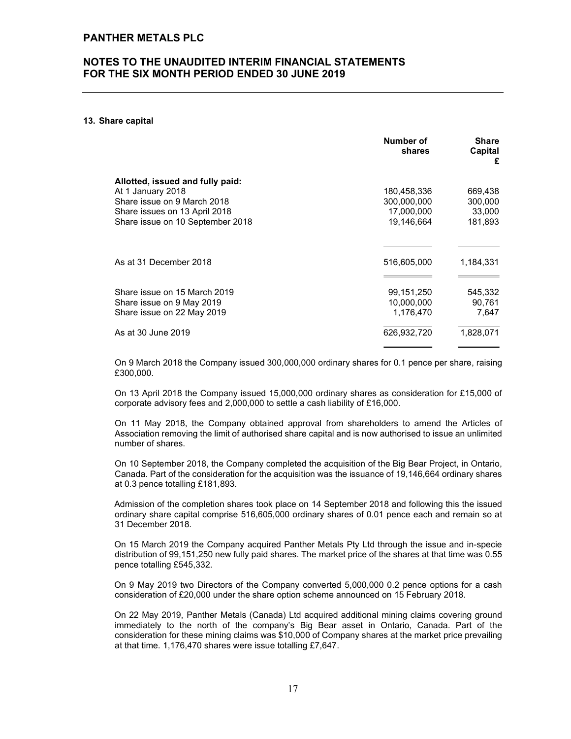#### 13. Share capital

|                                  | Number of<br>shares | <b>Share</b><br>Capital<br>£ |
|----------------------------------|---------------------|------------------------------|
| Allotted, issued and fully paid: |                     |                              |
| At 1 January 2018                | 180,458,336         | 669,438                      |
| Share issue on 9 March 2018      | 300,000,000         | 300,000                      |
| Share issues on 13 April 2018    | 17,000,000          | 33,000                       |
| Share issue on 10 September 2018 | 19,146,664          | 181,893                      |
|                                  |                     |                              |
| As at 31 December 2018           | 516,605,000         | 1,184,331                    |
|                                  |                     |                              |
| Share issue on 15 March 2019     | 99,151,250          | 545,332                      |
| Share issue on 9 May 2019        | 10,000,000          | 90,761                       |
| Share issue on 22 May 2019       | 1,176,470           | 7,647                        |
| As at 30 June 2019               | 626,932,720         | 1,828,071                    |

 On 9 March 2018 the Company issued 300,000,000 ordinary shares for 0.1 pence per share, raising £300,000.

 On 13 April 2018 the Company issued 15,000,000 ordinary shares as consideration for £15,000 of corporate advisory fees and 2,000,000 to settle a cash liability of £16,000.

 On 11 May 2018, the Company obtained approval from shareholders to amend the Articles of Association removing the limit of authorised share capital and is now authorised to issue an unlimited number of shares.

 On 10 September 2018, the Company completed the acquisition of the Big Bear Project, in Ontario, Canada. Part of the consideration for the acquisition was the issuance of 19,146,664 ordinary shares at 0.3 pence totalling £181,893.

Admission of the completion shares took place on 14 September 2018 and following this the issued ordinary share capital comprise 516,605,000 ordinary shares of 0.01 pence each and remain so at 31 December 2018.

On 15 March 2019 the Company acquired Panther Metals Pty Ltd through the issue and in-specie distribution of 99,151,250 new fully paid shares. The market price of the shares at that time was 0.55 pence totalling £545,332.

On 9 May 2019 two Directors of the Company converted 5,000,000 0.2 pence options for a cash consideration of £20,000 under the share option scheme announced on 15 February 2018.

On 22 May 2019, Panther Metals (Canada) Ltd acquired additional mining claims covering ground immediately to the north of the company's Big Bear asset in Ontario, Canada. Part of the consideration for these mining claims was \$10,000 of Company shares at the market price prevailing at that time. 1,176,470 shares were issue totalling £7,647.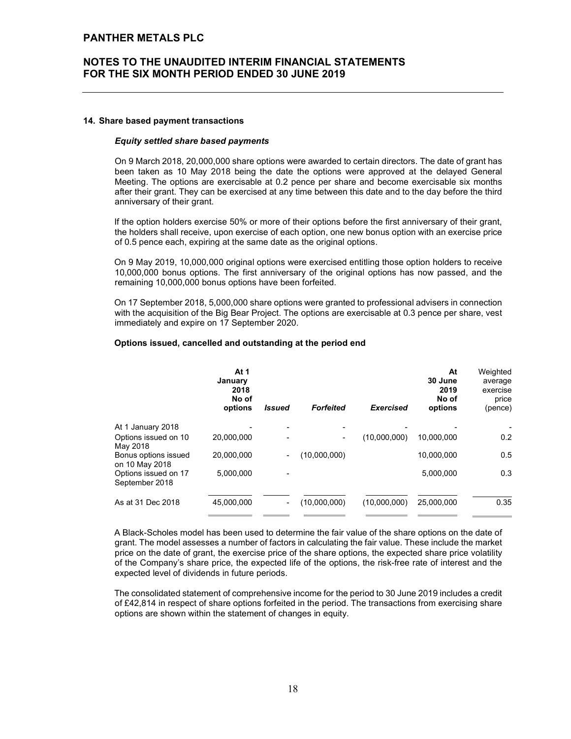## NOTES TO THE UNAUDITED INTERIM FINANCIAL STATEMENTS FOR THE SIX MONTH PERIOD ENDED 30 JUNE 2019

#### 14. Share based payment transactions

#### Equity settled share based payments

On 9 March 2018, 20,000,000 share options were awarded to certain directors. The date of grant has been taken as 10 May 2018 being the date the options were approved at the delayed General Meeting. The options are exercisable at 0.2 pence per share and become exercisable six months after their grant. They can be exercised at any time between this date and to the day before the third anniversary of their grant.

If the option holders exercise 50% or more of their options before the first anniversary of their grant, the holders shall receive, upon exercise of each option, one new bonus option with an exercise price of 0.5 pence each, expiring at the same date as the original options.

On 9 May 2019, 10,000,000 original options were exercised entitling those option holders to receive 10,000,000 bonus options. The first anniversary of the original options has now passed, and the remaining 10,000,000 bonus options have been forfeited.

On 17 September 2018, 5,000,000 share options were granted to professional advisers in connection with the acquisition of the Big Bear Project. The options are exercisable at 0.3 pence per share, vest immediately and expire on 17 September 2020.

### Options issued, cancelled and outstanding at the period end

|                                        | At 1<br>January<br>2018<br>No of<br>options | <b>Issued</b>            | <b>Forfeited</b> | <b>Exercised</b> | At<br>30 June<br>2019<br>No of<br>options | Weighted<br>average<br>exercise<br>price<br>(pence) |
|----------------------------------------|---------------------------------------------|--------------------------|------------------|------------------|-------------------------------------------|-----------------------------------------------------|
| At 1 January 2018                      |                                             | ٠                        | -                |                  |                                           |                                                     |
| Options issued on 10<br>May 2018       | 20.000.000                                  | $\blacksquare$           | ٠                | (10,000,000)     | 10.000.000                                | 0.2                                                 |
| Bonus options issued<br>on 10 May 2018 | 20.000.000                                  | ۰.                       | (10,000,000)     |                  | 10,000,000                                | 0.5                                                 |
| Options issued on 17<br>September 2018 | 5,000,000                                   |                          |                  |                  | 5,000,000                                 | 0.3                                                 |
| As at 31 Dec 2018                      | 45,000,000                                  | $\overline{\phantom{a}}$ | (10,000,000)     | (10,000,000)     | 25,000,000                                | 0.35                                                |

A Black-Scholes model has been used to determine the fair value of the share options on the date of grant. The model assesses a number of factors in calculating the fair value. These include the market price on the date of grant, the exercise price of the share options, the expected share price volatility of the Company's share price, the expected life of the options, the risk-free rate of interest and the expected level of dividends in future periods.

The consolidated statement of comprehensive income for the period to 30 June 2019 includes a credit of £42,814 in respect of share options forfeited in the period. The transactions from exercising share options are shown within the statement of changes in equity.